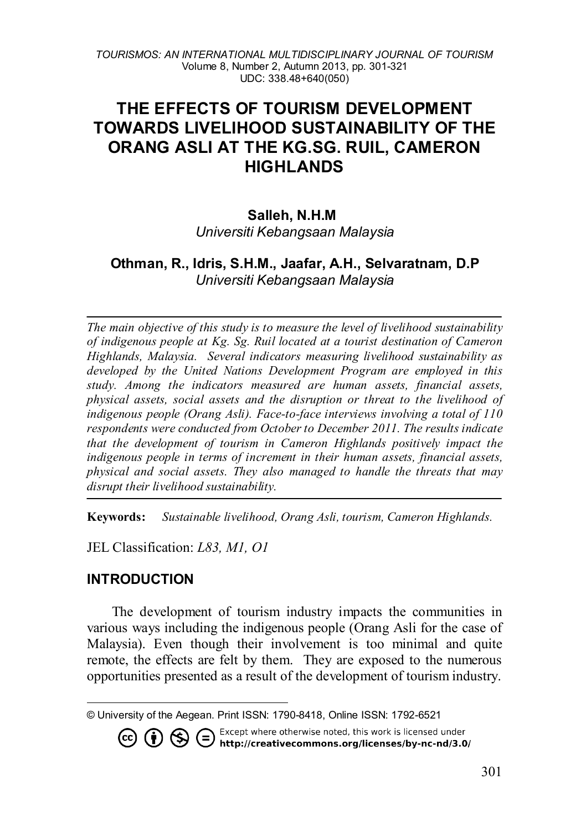# **THE EFFECTS OF TOURISM DEVELOPMENT TOWARDS LIVELIHOOD SUSTAINABILITY OF THE ORANG ASLI AT THE KG.SG. RUIL, CAMERON HIGHLANDS**

#### **Salleh, N.H.M[1](#page-0-0)**

*Universiti Kebangsaan Malaysia*

#### **Othman, R., Idris, S.H.M., Jaafar, A.H., Selvaratnam, D.P** *Universiti Kebangsaan Malaysia*

*The main objective of this study is to measure the level of livelihood sustainability of indigenous people at Kg. Sg. Ruil located at a tourist destination of Cameron Highlands, Malaysia. Several indicators measuring livelihood sustainability as developed by the United Nations Development Program are employed in this study. Among the indicators measured are human assets, financial assets, physical assets, social assets and the disruption or threat to the livelihood of indigenous people (Orang Asli). Face-to-face interviews involving a total of 110 respondents were conducted from October to December 2011. The results indicate that the development of tourism in Cameron Highlands positively impact the indigenous people in terms of increment in their human assets, financial assets, physical and social assets. They also managed to handle the threats that may disrupt their livelihood sustainability.*

**Keywords:** *Sustainable livelihood, Orang Asli, tourism, Cameron Highlands.*

JEL Classification: *L83, M1, O1*

#### **INTRODUCTION**

 $(cc)$ 

 $\overline{a}$ 

The development of tourism industry impacts the communities in various ways including the indigenous people (Orang Asli for the case of Malaysia). Even though their involvement is too minimal and quite remote, the effects are felt by them. They are exposed to the numerous opportunities presented as a result of the development of tourism industry.

. Except where otherwise noted, this work is licensed under **1** S C Except where otherwise noted, this work is licensed under<br>http://creativecommons.org/licenses/by-nc-nd/3.0/

<span id="page-0-0"></span><sup>©</sup> University of the Aegean. Print ISSN: 1790-8418, Online ISSN: 1792-6521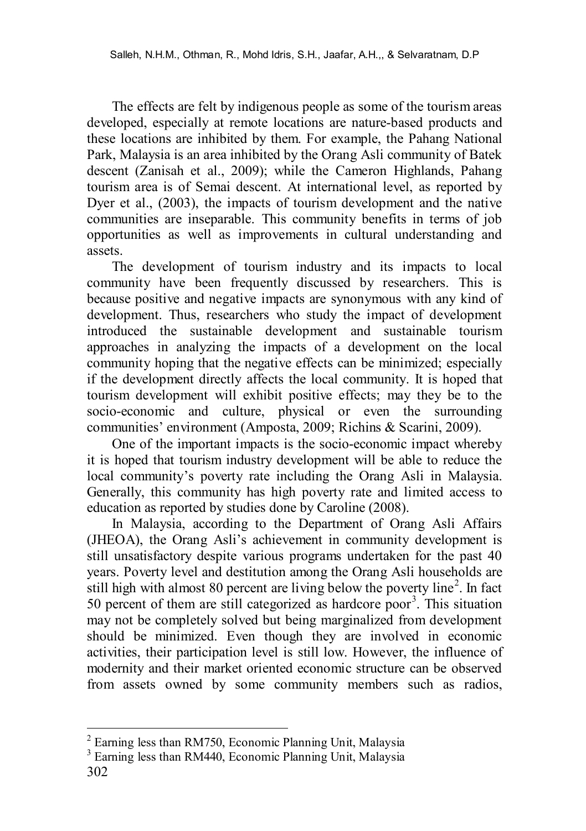The effects are felt by indigenous people as some of the tourism areas developed, especially at remote locations are nature-based products and these locations are inhibited by them. For example, the Pahang National Park, Malaysia is an area inhibited by the Orang Asli community of Batek descent (Zanisah et al., 2009); while the Cameron Highlands, Pahang tourism area is of Semai descent. At international level, as reported by Dyer et al., (2003), the impacts of tourism development and the native communities are inseparable. This community benefits in terms of job opportunities as well as improvements in cultural understanding and assets.

The development of tourism industry and its impacts to local community have been frequently discussed by researchers. This is because positive and negative impacts are synonymous with any kind of development. Thus, researchers who study the impact of development introduced the sustainable development and sustainable tourism approaches in analyzing the impacts of a development on the local community hoping that the negative effects can be minimized; especially if the development directly affects the local community. It is hoped that tourism development will exhibit positive effects; may they be to the socio-economic and culture, physical or even the surrounding communities' environment (Amposta, 2009; Richins & Scarini, 2009).

One of the important impacts is the socio-economic impact whereby it is hoped that tourism industry development will be able to reduce the local community's poverty rate including the Orang Asli in Malaysia. Generally, this community has high poverty rate and limited access to education as reported by studies done by Caroline (2008).

In Malaysia, according to the Department of Orang Asli Affairs (JHEOA), the Orang Asli's achievement in community development is still unsatisfactory despite various programs undertaken for the past 40 years. Poverty level and destitution among the Orang Asli households are still high with almost 80 percent are living below the poverty line<sup>[2](#page-1-0)</sup>. In fact 50 percent of them are still categorized as hardcore poor<sup>[3](#page-1-1)</sup>. This situation may not be completely solved but being marginalized from development should be minimized. Even though they are involved in economic activities, their participation level is still low. However, the influence of modernity and their market oriented economic structure can be observed from assets owned by some community members such as radios,

<span id="page-1-0"></span> $2$  Earning less than RM750, Economic Planning Unit, Malaysia

<span id="page-1-1"></span><sup>302</sup> <sup>3</sup> Earning less than RM440. Economic Planning Unit, Malaysia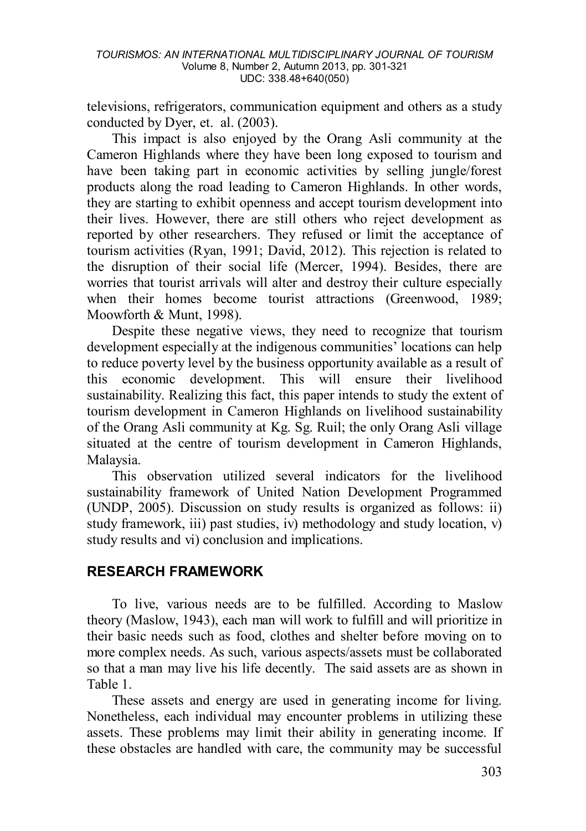televisions, refrigerators, communication equipment and others as a study conducted by Dyer, et. al. (2003).

This impact is also enjoyed by the Orang Asli community at the Cameron Highlands where they have been long exposed to tourism and have been taking part in economic activities by selling jungle/forest products along the road leading to Cameron Highlands. In other words, they are starting to exhibit openness and accept tourism development into their lives. However, there are still others who reject development as reported by other researchers. They refused or limit the acceptance of tourism activities (Ryan, 1991; David, 2012). This rejection is related to the disruption of their social life (Mercer, 1994). Besides, there are worries that tourist arrivals will alter and destroy their culture especially when their homes become tourist attractions (Greenwood, 1989; Moowforth & Munt, 1998).

Despite these negative views, they need to recognize that tourism development especially at the indigenous communities' locations can help to reduce poverty level by the business opportunity available as a result of this economic development. This will ensure their livelihood sustainability. Realizing this fact, this paper intends to study the extent of tourism development in Cameron Highlands on livelihood sustainability of the Orang Asli community at Kg. Sg. Ruil; the only Orang Asli village situated at the centre of tourism development in Cameron Highlands, Malaysia.

This observation utilized several indicators for the livelihood sustainability framework of United Nation Development Programmed (UNDP, 2005). Discussion on study results is organized as follows: ii) study framework, iii) past studies, iv) methodology and study location, v) study results and vi) conclusion and implications.

### **RESEARCH FRAMEWORK**

To live, various needs are to be fulfilled. According to Maslow theory (Maslow, 1943), each man will work to fulfill and will prioritize in their basic needs such as food, clothes and shelter before moving on to more complex needs. As such, various aspects/assets must be collaborated so that a man may live his life decently. The said assets are as shown in Table 1.

These assets and energy are used in generating income for living. Nonetheless, each individual may encounter problems in utilizing these assets. These problems may limit their ability in generating income. If these obstacles are handled with care, the community may be successful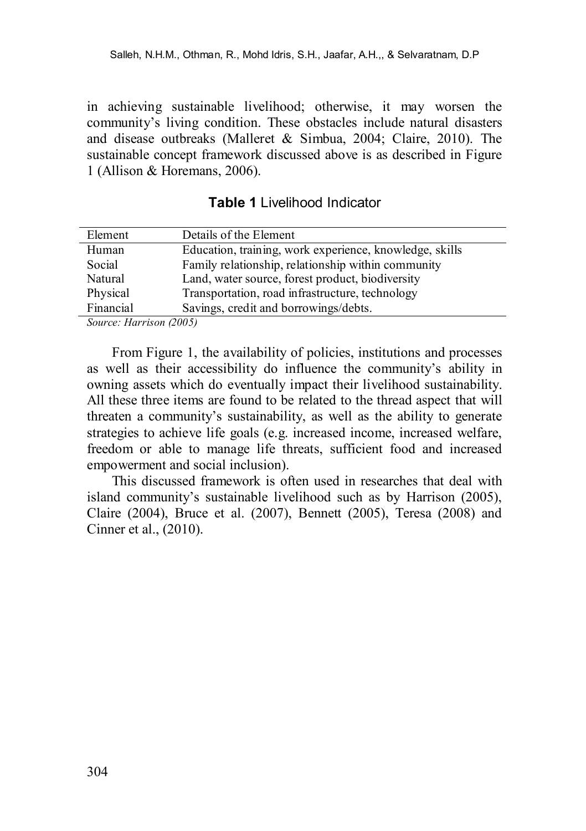in achieving sustainable livelihood; otherwise, it may worsen the community's living condition. These obstacles include natural disasters and disease outbreaks (Malleret & Simbua, 2004; Claire, 2010). The sustainable concept framework discussed above is as described in Figure 1 (Allison & Horemans, 2006).

| <b>Table 1</b> Livelihood Indicator |  |
|-------------------------------------|--|
|-------------------------------------|--|

| Element   | Details of the Element                                  |
|-----------|---------------------------------------------------------|
| Human     | Education, training, work experience, knowledge, skills |
| Social    | Family relationship, relationship within community      |
| Natural   | Land, water source, forest product, biodiversity        |
| Physical  | Transportation, road infrastructure, technology         |
| Financial | Savings, credit and borrowings/debts.                   |
|           |                                                         |

*Source: Harrison (2005)*

From Figure 1, the availability of policies, institutions and processes as well as their accessibility do influence the community's ability in owning assets which do eventually impact their livelihood sustainability. All these three items are found to be related to the thread aspect that will threaten a community's sustainability, as well as the ability to generate strategies to achieve life goals (e.g. increased income, increased welfare, freedom or able to manage life threats, sufficient food and increased empowerment and social inclusion).

This discussed framework is often used in researches that deal with island community's sustainable livelihood such as by Harrison (2005), Claire (2004), Bruce et al. (2007), Bennett (2005), Teresa (2008) and Cinner et al., (2010).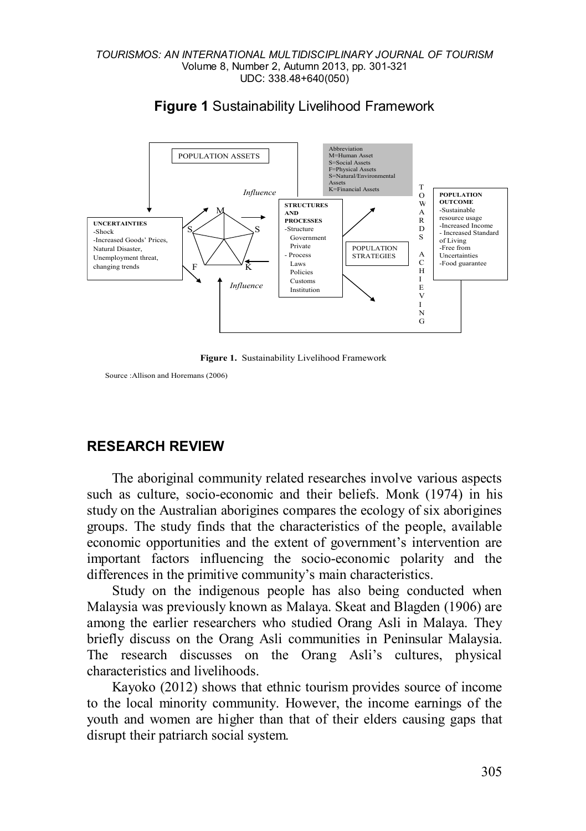

#### **Figure 1** Sustainability Livelihood Framework



Source :Allison and Horemans (2006)

## **RESEARCH REVIEW**

The aboriginal community related researches involve various aspects such as culture, socio-economic and their beliefs. Monk (1974) in his study on the Australian aborigines compares the ecology of six aborigines groups. The study finds that the characteristics of the people, available economic opportunities and the extent of government's intervention are important factors influencing the socio-economic polarity and the differences in the primitive community's main characteristics.

Study on the indigenous people has also being conducted when Malaysia was previously known as Malaya. Skeat and Blagden (1906) are among the earlier researchers who studied Orang Asli in Malaya. They briefly discuss on the Orang Asli communities in Peninsular Malaysia. The research discusses on the Orang Asli's cultures, physical characteristics and livelihoods.

Kayoko (2012) shows that ethnic tourism provides source of income to the local minority community. However, the income earnings of the youth and women are higher than that of their elders causing gaps that disrupt their patriarch social system.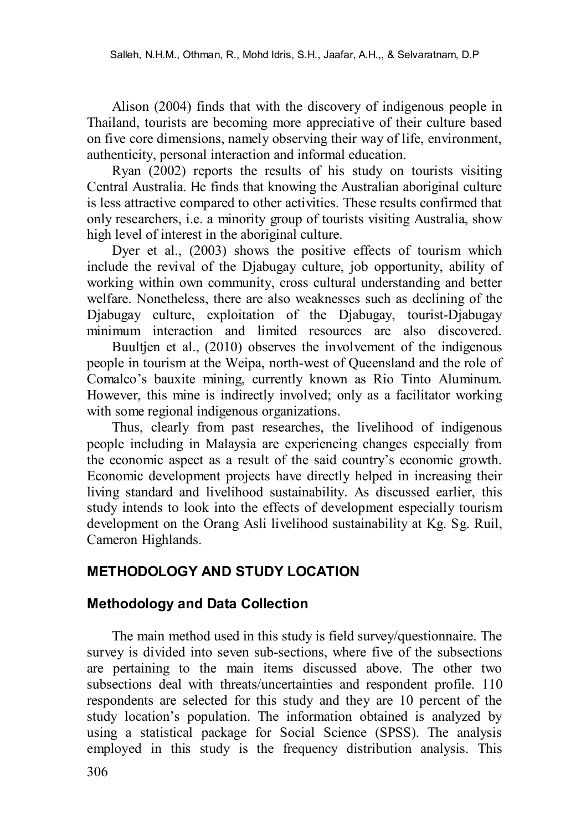Alison (2004) finds that with the discovery of indigenous people in Thailand, tourists are becoming more appreciative of their culture based on five core dimensions, namely observing their way of life, environment, authenticity, personal interaction and informal education.

Ryan (2002) reports the results of his study on tourists visiting Central Australia. He finds that knowing the Australian aboriginal culture is less attractive compared to other activities. These results confirmed that only researchers, i.e. a minority group of tourists visiting Australia, show high level of interest in the aboriginal culture.

Dyer et al., (2003) shows the positive effects of tourism which include the revival of the Djabugay culture, job opportunity, ability of working within own community, cross cultural understanding and better welfare. Nonetheless, there are also weaknesses such as declining of the Djabugay culture, exploitation of the Djabugay, tourist-Djabugay minimum interaction and limited resources are also discovered.

Buultien et al., (2010) observes the involvement of the indigenous people in tourism at the Weipa, north-west of Queensland and the role of Comalco's bauxite mining, currently known as Rio Tinto Aluminum. However, this mine is indirectly involved; only as a facilitator working with some regional indigenous organizations.

Thus, clearly from past researches, the livelihood of indigenous people including in Malaysia are experiencing changes especially from the economic aspect as a result of the said country's economic growth. Economic development projects have directly helped in increasing their living standard and livelihood sustainability. As discussed earlier, this study intends to look into the effects of development especially tourism development on the Orang Asli livelihood sustainability at Kg. Sg. Ruil, Cameron Highlands.

# **METHODOLOGY AND STUDY LOCATION**

## **Methodology and Data Collection**

The main method used in this study is field survey/questionnaire. The survey is divided into seven sub-sections, where five of the subsections are pertaining to the main items discussed above. The other two subsections deal with threats/uncertainties and respondent profile. 110 respondents are selected for this study and they are 10 percent of the study location's population. The information obtained is analyzed by using a statistical package for Social Science (SPSS). The analysis employed in this study is the frequency distribution analysis. This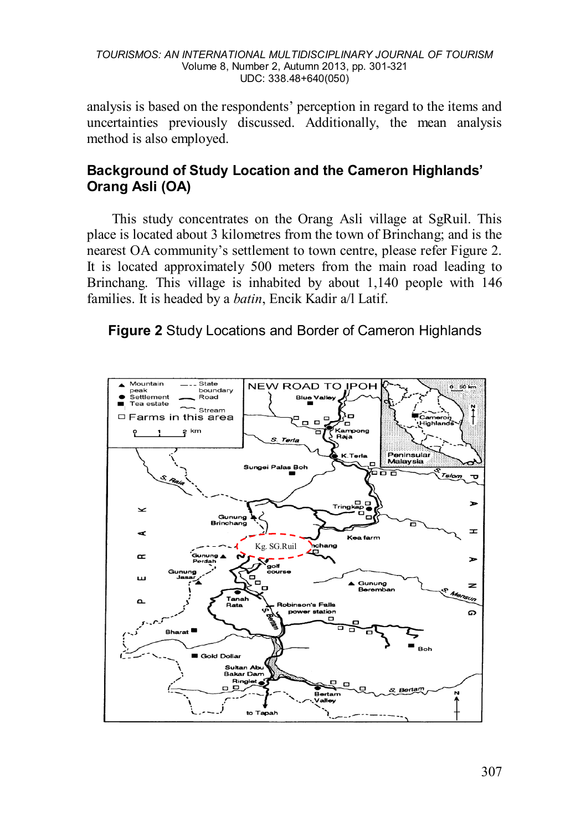analysis is based on the respondents' perception in regard to the items and uncertainties previously discussed. Additionally, the mean analysis method is also employed.

## **Background of Study Location and the Cameron Highlands' Orang Asli (OA)**

This study concentrates on the Orang Asli village at SgRuil. This place is located about 3 kilometres from the town of Brinchang; and is the nearest OA community's settlement to town centre, please refer Figure 2. It is located approximately 500 meters from the main road leading to Brinchang. This village is inhabited by about 1,140 people with 146 families. It is headed by a *batin*, Encik Kadir a/l Latif.



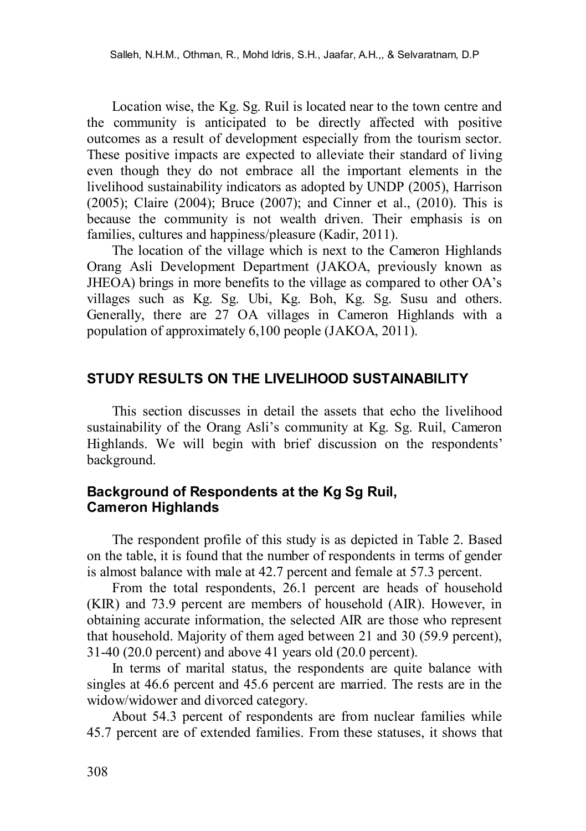Location wise, the Kg. Sg. Ruil is located near to the town centre and the community is anticipated to be directly affected with positive outcomes as a result of development especially from the tourism sector. These positive impacts are expected to alleviate their standard of living even though they do not embrace all the important elements in the livelihood sustainability indicators as adopted by UNDP (2005), Harrison (2005); Claire (2004); Bruce (2007); and Cinner et al., (2010). This is because the community is not wealth driven. Their emphasis is on families, cultures and happiness/pleasure (Kadir, 2011).

The location of the village which is next to the Cameron Highlands Orang Asli Development Department (JAKOA, previously known as JHEOA) brings in more benefits to the village as compared to other OA's villages such as Kg. Sg. Ubi, Kg. Boh, Kg. Sg. Susu and others. Generally, there are 27 OA villages in Cameron Highlands with a population of approximately 6,100 people (JAKOA, 2011).

#### **STUDY RESULTS ON THE LIVELIHOOD SUSTAINABILITY**

This section discusses in detail the assets that echo the livelihood sustainability of the Orang Asli's community at Kg. Sg. Ruil, Cameron Highlands. We will begin with brief discussion on the respondents' background.

#### **Background of Respondents at the Kg Sg Ruil, Cameron Highlands**

The respondent profile of this study is as depicted in Table 2. Based on the table, it is found that the number of respondents in terms of gender is almost balance with male at 42.7 percent and female at 57.3 percent.

From the total respondents, 26.1 percent are heads of household (KIR) and 73.9 percent are members of household (AIR). However, in obtaining accurate information, the selected AIR are those who represent that household. Majority of them aged between 21 and 30 (59.9 percent), 31-40 (20.0 percent) and above 41 years old (20.0 percent).

In terms of marital status, the respondents are quite balance with singles at 46.6 percent and 45.6 percent are married. The rests are in the widow/widower and divorced category.

About 54.3 percent of respondents are from nuclear families while 45.7 percent are of extended families. From these statuses, it shows that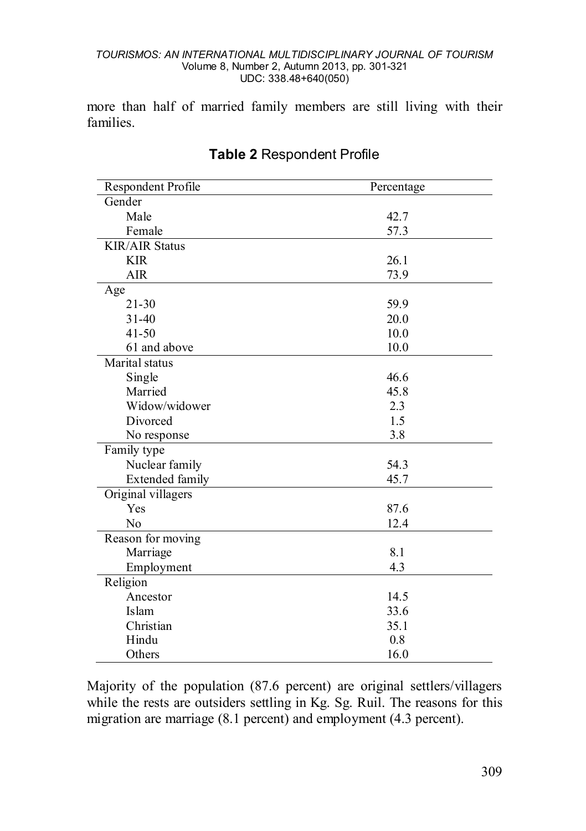more than half of married family members are still living with their families.

| Respondent Profile     | Percentage |
|------------------------|------------|
| Gender                 |            |
| Male                   | 42.7       |
| Female                 | 57.3       |
| <b>KIR/AIR Status</b>  |            |
| <b>KIR</b>             | 26.1       |
| AIR                    | 73.9       |
| Age                    |            |
| $21 - 30$              | 59.9       |
| $31 - 40$              | 20.0       |
| $41 - 50$              | 10.0       |
| 61 and above           | 10.0       |
| Marital status         |            |
| Single                 | 46.6       |
| Married                | 45.8       |
| Widow/widower          | 2.3        |
| Divorced               | 1.5        |
| No response            | 3.8        |
| Family type            |            |
| Nuclear family         | 54.3       |
| <b>Extended family</b> | 45.7       |
| Original villagers     |            |
| Yes                    | 87.6       |
| N <sub>0</sub>         | 12.4       |
| Reason for moving      |            |
| Marriage               | 8.1        |
| Employment             | 4.3        |
| Religion               |            |
| Ancestor               | 14.5       |
| Islam                  | 33.6       |
| Christian              | 35.1       |
| Hindu                  | 0.8        |
| Others                 | 16.0       |

# **Table 2** Respondent Profile

Majority of the population (87.6 percent) are original settlers/villagers while the rests are outsiders settling in Kg. Sg. Ruil. The reasons for this migration are marriage (8.1 percent) and employment (4.3 percent).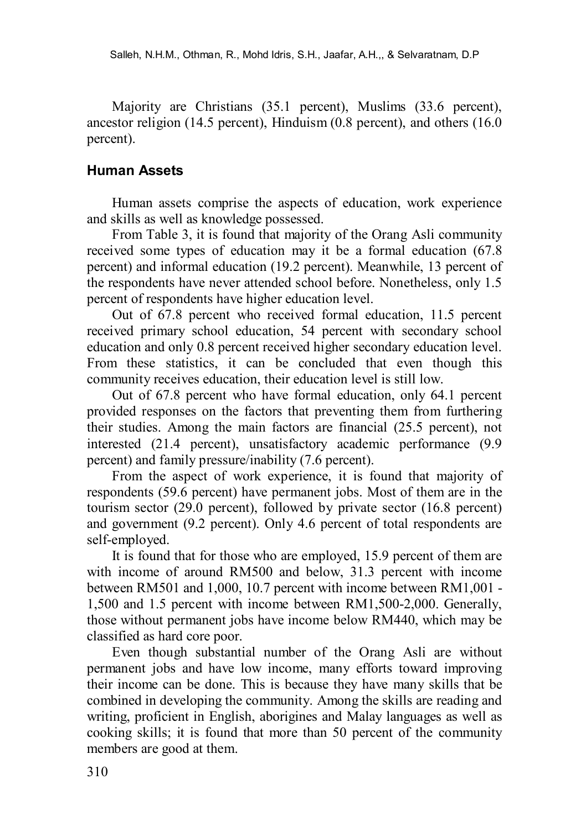Majority are Christians (35.1 percent), Muslims (33.6 percent), ancestor religion (14.5 percent), Hinduism (0.8 percent), and others (16.0 percent).

#### **Human Assets**

Human assets comprise the aspects of education, work experience and skills as well as knowledge possessed.

From Table 3, it is found that majority of the Orang Asli community received some types of education may it be a formal education (67.8 percent) and informal education (19.2 percent). Meanwhile, 13 percent of the respondents have never attended school before. Nonetheless, only 1.5 percent of respondents have higher education level.

Out of 67.8 percent who received formal education, 11.5 percent received primary school education, 54 percent with secondary school education and only 0.8 percent received higher secondary education level. From these statistics, it can be concluded that even though this community receives education, their education level is still low.

Out of 67.8 percent who have formal education, only 64.1 percent provided responses on the factors that preventing them from furthering their studies. Among the main factors are financial (25.5 percent), not interested (21.4 percent), unsatisfactory academic performance (9.9 percent) and family pressure/inability (7.6 percent).

From the aspect of work experience, it is found that majority of respondents (59.6 percent) have permanent jobs. Most of them are in the tourism sector (29.0 percent), followed by private sector (16.8 percent) and government (9.2 percent). Only 4.6 percent of total respondents are self-employed.

It is found that for those who are employed, 15.9 percent of them are with income of around RM500 and below, 31.3 percent with income between RM501 and 1,000, 10.7 percent with income between RM1,001 - 1,500 and 1.5 percent with income between RM1,500-2,000. Generally, those without permanent jobs have income below RM440, which may be classified as hard core poor.

Even though substantial number of the Orang Asli are without permanent jobs and have low income, many efforts toward improving their income can be done. This is because they have many skills that be combined in developing the community. Among the skills are reading and writing, proficient in English, aborigines and Malay languages as well as cooking skills; it is found that more than 50 percent of the community members are good at them.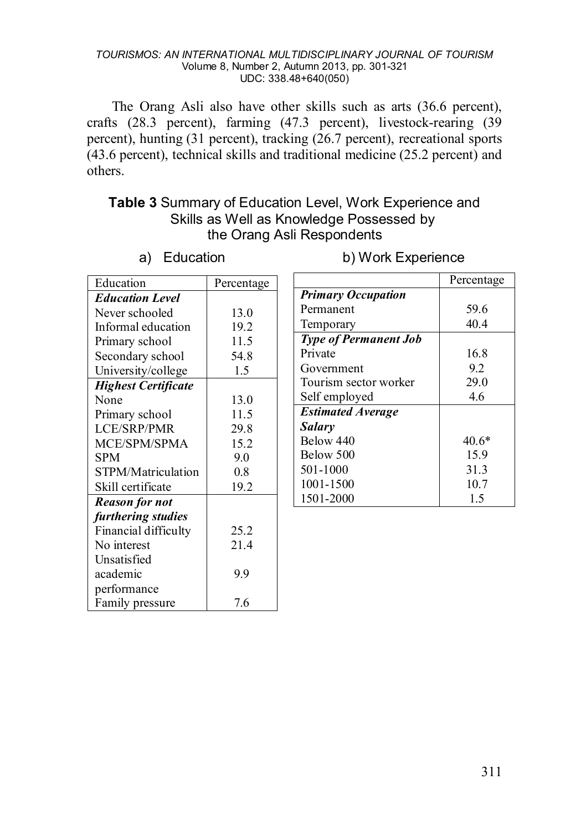The Orang Asli also have other skills such as arts (36.6 percent), crafts (28.3 percent), farming (47.3 percent), livestock-rearing (39 percent), hunting (31 percent), tracking (26.7 percent), recreational sports (43.6 percent), technical skills and traditional medicine (25.2 percent) and others.

## **Table 3** Summary of Education Level, Work Experience and Skills as Well as Knowledge Possessed by the Orang Asli Respondents

| Education                  | Percentage |
|----------------------------|------------|
| <b>Education Level</b>     |            |
| Never schooled             | 13.0       |
| Informal education         | 19.2       |
| Primary school             | 11.5       |
| Secondary school           | 54.8       |
| University/college         | 1.5        |
| <b>Highest Certificate</b> |            |
| None                       | 13.0       |
| Primary school             | 11.5       |
| LCE/SRP/PMR                | 29.8       |
| MCE/SPM/SPMA               | 15.2       |
| SPM                        | 9.0        |
| STPM/Matriculation         | 0.8        |
| Skill certificate          | 19.2       |
| <b>Reason for not</b>      |            |
| furthering studies         |            |
| Financial difficulty       | 25.2       |
| No interest                | 21.4       |
| Unsatisfied                |            |
| academic                   | 9.9        |
| performance                |            |
| Family pressure            | 7.6        |

a) Education

#### b) Work Experience

|                              | Percentage |
|------------------------------|------------|
| <b>Primary Occupation</b>    |            |
| Permanent                    | 59.6       |
| Temporary                    | 40.4       |
| <b>Type of Permanent Job</b> |            |
| Private                      | 16.8       |
| Government                   | 9.2        |
| Tourism sector worker        | 29.0       |
| Self employed                | 46         |
| <b>Estimated Average</b>     |            |
| Salary                       |            |
| Below 440                    | $40.6*$    |
| Below 500                    | 15.9       |
| 501-1000                     | 31.3       |
| 1001-1500                    | 10.7       |
| 1501-2000                    | 1.5        |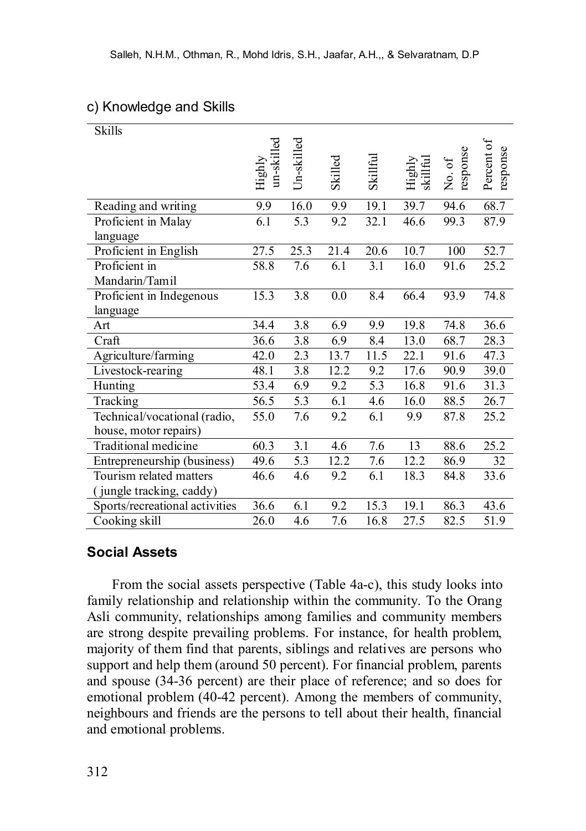## c) Knowledge and Skills

| <b>Skills</b>                  |                      |                  |         |          |                    |                    |                        |
|--------------------------------|----------------------|------------------|---------|----------|--------------------|--------------------|------------------------|
|                                | un-skilled<br>Highly | Un-skilled       | Skilled | Skillful | Highly<br>skillful | No. of<br>response | Percent of<br>response |
| Reading and writing            | 9.9                  | 16.0             | 9.9     | 19.1     | 39.7               | 94.6               | 68.7                   |
| Proficient in Malay            | 6.1                  | 5.3              | 9.2     | 32.1     | 46.6               | 99.3               | 87.9                   |
| language                       |                      |                  |         |          |                    |                    |                        |
| Proficient in English          | 27.5                 | 25.3             | 21.4    | 20.6     | 10.7               | 100                | 52.7                   |
| Proficient in                  | 58.8                 | 7.6              | 6.1     | 3.1      | 16.0               | 91.6               | 25.2                   |
| Mandarin/Tamil                 |                      |                  |         |          |                    |                    |                        |
| Proficient in Indegenous       | 15.3                 | $\overline{3.8}$ | 0.0     | 8.4      | 66.4               | 93.9               | 74.8                   |
| language                       |                      |                  |         |          |                    |                    |                        |
| Art                            | 34.4                 | 3.8              | 6.9     | 9.9      | 19.8               | 74.8               | 36.6                   |
| Craft                          | 36.6                 | 3.8              | 6.9     | 8.4      | 13.0               | 68.7               | 28.3                   |
| Agriculture/farming            | 42.0                 | $\overline{2.3}$ | 13.7    | 11.5     | 22.1               | 91.6               | 47.3                   |
| Livestock-rearing              | 48.1                 | 3.8              | 12.2    | 9.2      | 17.6               | 90.9               | 39.0                   |
| Hunting                        | 53.4                 | 6.9              | 9.2     | 5.3      | 16.8               | 91.6               | 31.3                   |
| Tracking                       | 56.5                 | 5.3              | 6.1     | 4.6      | 16.0               | 88.5               | 26.7                   |
| Technical/vocational (radio,   | 55.0                 | 7.6              | 9.2     | 6.1      | 9.9                | 87.8               | 25.2                   |
| house, motor repairs)          |                      |                  |         |          |                    |                    |                        |
| Traditional medicine           | 60.3                 | 3.1              | 4.6     | 7.6      | 13                 | 88.6               | 25.2                   |
| Entrepreneurship (business)    | 49.6                 | 5.3              | 12.2    | 7.6      | 12.2               | 86.9               | 32                     |
| Tourism related matters        | 46.6                 | 4.6              | 9.2     | 6.1      | 18.3               | 84.8               | 33.6                   |
| (jungle tracking, caddy)       |                      |                  |         |          |                    |                    |                        |
| Sports/recreational activities | 36.6                 | 6.1              | 9.2     | 15.3     | 19.1               | 86.3               | 43.6                   |
| Cooking skill                  | 26.0                 | 4.6              | 7.6     | 16.8     | 27.5               | 82.5               | 51.9                   |

#### **Social Assets**

From the social assets perspective (Table 4a-c), this study looks into family relationship and relationship within the community. To the Orang Asli community, relationships among families and community members are strong despite prevailing problems. For instance, for health problem, majority of them find that parents, siblings and relatives are persons who support and help them (around 50 percent). For financial problem, parents and spouse (34-36 percent) are their place of reference; and so does for emotional problem (40-42 percent). Among the members of community, neighbours and friends are the persons to tell about their health, financial and emotional problems.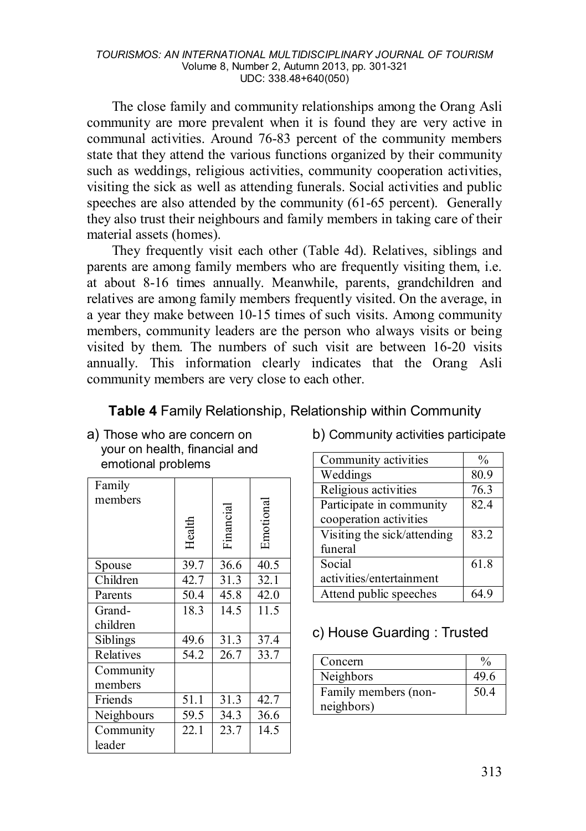The close family and community relationships among the Orang Asli community are more prevalent when it is found they are very active in communal activities. Around 76-83 percent of the community members state that they attend the various functions organized by their community such as weddings, religious activities, community cooperation activities, visiting the sick as well as attending funerals. Social activities and public speeches are also attended by the community (61-65 percent). Generally they also trust their neighbours and family members in taking care of their material assets (homes).

They frequently visit each other (Table 4d). Relatives, siblings and parents are among family members who are frequently visiting them, i.e. at about 8-16 times annually. Meanwhile, parents, grandchildren and relatives are among family members frequently visited. On the average, in a year they make between 10-15 times of such visits. Among community members, community leaders are the person who always visits or being visited by them. The numbers of such visit are between 16-20 visits annually. This information clearly indicates that the Orang Asli community members are very close to each other.

| Table 4 Family Relationship, Relationship within Community |  |  |
|------------------------------------------------------------|--|--|
|------------------------------------------------------------|--|--|

a) Those who are concern on your on health, financial and emotional problems

| Family<br>members    | Health | Financia | Emotiona |
|----------------------|--------|----------|----------|
| Spouse               | 39.7   | 36.6     | 40.5     |
| Children             | 42.7   | 31.3     | 32.1     |
| Parents              | 50.4   | 45.8     | 42.0     |
| Grand-               | 18.3   | 14.5     | 11.5     |
| children             |        |          |          |
| Siblings             | 49.6   | 31.3     | 37.4     |
| Relatives            | 54.2   | 26.7     | 33.7     |
| Community<br>members |        |          |          |
| Friends              | 51.1   | 31.3     | 42.7     |
| Neighbours           | 59.5   | 34.3     | 36.6     |
| Community<br>leader  | 22.1   | 23.7     | 14.5     |

b) Community activities participate

| Community activities        | $\frac{0}{0}$ |
|-----------------------------|---------------|
| Weddings                    | 80.9          |
| Religious activities        | 76.3          |
| Participate in community    | 82.4          |
| cooperation activities      |               |
| Visiting the sick/attending | 83.2          |
| funeral                     |               |
| Social                      | 61.8          |
| activities/entertainment    |               |
| Attend public speeches      | 64 9          |

## c) House Guarding : Trusted

| Concern              | $\frac{0}{0}$ |
|----------------------|---------------|
| Neighbors            | 49.6          |
| Family members (non- | 50.4          |
| neighbors)           |               |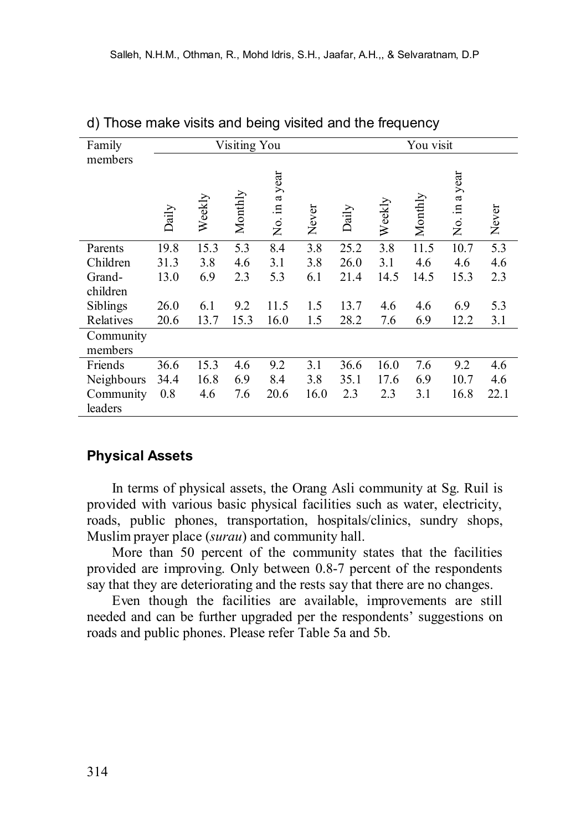| Family     |       |        | Visiting You |               |       |       |        | You visit |               |       |
|------------|-------|--------|--------------|---------------|-------|-------|--------|-----------|---------------|-------|
| members    |       |        |              |               |       |       |        |           |               |       |
|            |       |        |              |               |       |       |        |           |               |       |
|            |       |        |              |               |       |       |        |           |               |       |
|            | Daily | Weekly | Monthly      | No. in a year | Never | Daily | Weekly | Monthly   | No. in a year | Never |
| Parents    | 19.8  | 15.3   | 5.3          | 8.4           | 3.8   | 25.2  | 3.8    | 11.5      | 10.7          | 5.3   |
| Children   | 31.3  | 3.8    | 4.6          | 3.1           | 3.8   | 26.0  | 3.1    | 4.6       | 4.6           | 4.6   |
| Grand-     | 13.0  | 6.9    | 2.3          | 5.3           | 6.1   | 21.4  | 14.5   | 14.5      | 15.3          | 2.3   |
| children   |       |        |              |               |       |       |        |           |               |       |
| Siblings   | 26.0  | 6.1    | 9.2          | 11.5          | 1.5   | 13.7  | 4.6    | 4.6       | 6.9           | 5.3   |
| Relatives  | 20.6  | 13.7   | 15.3         | 16.0          | 1.5   | 28.2  | 7.6    | 6.9       | 12.2          | 3.1   |
| Community  |       |        |              |               |       |       |        |           |               |       |
| members    |       |        |              |               |       |       |        |           |               |       |
| Friends    | 36.6  | 15.3   | 4.6          | 9.2           | 3.1   | 36.6  | 16.0   | 7.6       | 9.2           | 4.6   |
| Neighbours | 34.4  | 16.8   | 6.9          | 8.4           | 3.8   | 35.1  | 17.6   | 6.9       | 10.7          | 4.6   |
| Community  | 0.8   | 4.6    | 7.6          | 20.6          | 16.0  | 2.3   | 2.3    | 3.1       | 16.8          | 22.1  |
| leaders    |       |        |              |               |       |       |        |           |               |       |

d) Those make visits and being visited and the frequency

### **Physical Assets**

In terms of physical assets, the Orang Asli community at Sg. Ruil is provided with various basic physical facilities such as water, electricity, roads, public phones, transportation, hospitals/clinics, sundry shops, Muslim prayer place (*surau*) and community hall.

More than 50 percent of the community states that the facilities provided are improving. Only between 0.8-7 percent of the respondents say that they are deteriorating and the rests say that there are no changes.

Even though the facilities are available, improvements are still needed and can be further upgraded per the respondents' suggestions on roads and public phones. Please refer Table 5a and 5b.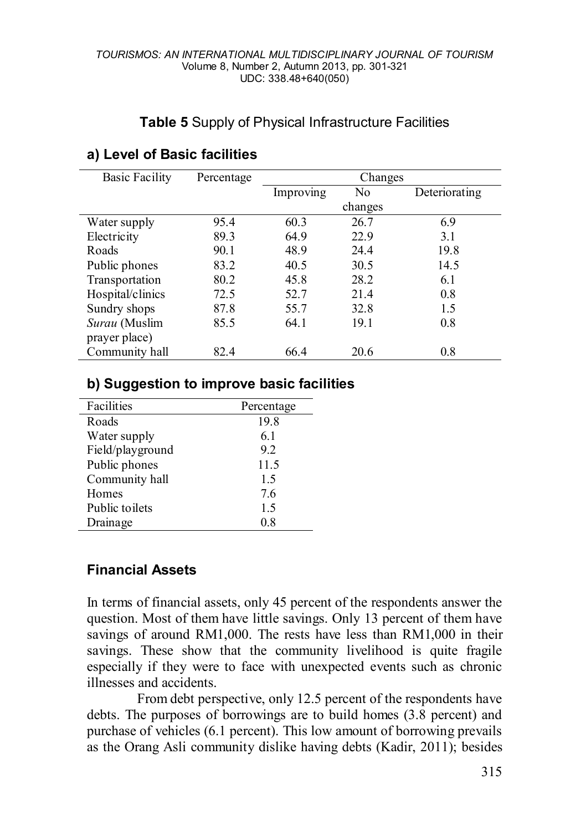## **Table 5** Supply of Physical Infrastructure Facilities

| <b>Basic Facility</b> | Percentage | Changes   |         |               |  |  |  |
|-----------------------|------------|-----------|---------|---------------|--|--|--|
|                       |            | Improving | No      | Deteriorating |  |  |  |
|                       |            |           | changes |               |  |  |  |
| Water supply          | 95.4       | 60.3      | 26.7    | 6.9           |  |  |  |
| Electricity           | 89.3       | 64.9      | 22.9    | 3.1           |  |  |  |
| Roads                 | 90.1       | 48.9      | 24.4    | 19.8          |  |  |  |
| Public phones         | 83.2       | 40.5      | 30.5    | 14.5          |  |  |  |
| Transportation        | 80.2       | 45.8      | 28.2    | 6.1           |  |  |  |
| Hospital/clinics      | 72.5       | 52.7      | 21.4    | 0.8           |  |  |  |
| Sundry shops          | 87.8       | 55.7      | 32.8    | 1.5           |  |  |  |
| Surau (Muslim         | 85.5       | 64.1      | 19.1    | 0.8           |  |  |  |
| prayer place)         |            |           |         |               |  |  |  |
| Community hall        | 82.4       | 66.4      | 20.6    | 0.8           |  |  |  |

## **a) Level of Basic facilities**

### **b) Suggestion to improve basic facilities**

| Facilities       | Percentage |
|------------------|------------|
| Roads            | 19.8       |
| Water supply     | 6.1        |
| Field/playground | 92         |
| Public phones    | 11.5       |
| Community hall   | 1.5        |
| Homes            | 76         |
| Public toilets   | 1.5        |
| Drainage         | 0.8        |

### **Financial Assets**

In terms of financial assets, only 45 percent of the respondents answer the question. Most of them have little savings. Only 13 percent of them have savings of around RM1,000. The rests have less than RM1,000 in their savings. These show that the community livelihood is quite fragile especially if they were to face with unexpected events such as chronic illnesses and accidents.

From debt perspective, only 12.5 percent of the respondents have debts. The purposes of borrowings are to build homes (3.8 percent) and purchase of vehicles (6.1 percent). This low amount of borrowing prevails as the Orang Asli community dislike having debts (Kadir, 2011); besides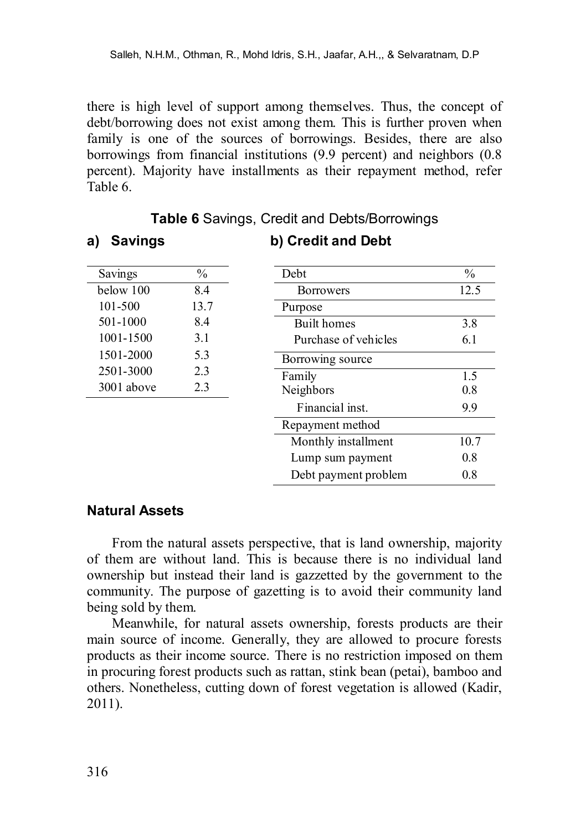there is high level of support among themselves. Thus, the concept of debt/borrowing does not exist among them. This is further proven when family is one of the sources of borrowings. Besides, there are also borrowings from financial institutions (9.9 percent) and neighbors (0.8 percent). Majority have installments as their repayment method, refer Table 6.

| Savings    | $\frac{0}{0}$ | Debt                 | $\frac{0}{0}$ |
|------------|---------------|----------------------|---------------|
| below 100  | 8.4           | <b>Borrowers</b>     | 12.5          |
| 101-500    | 13.7          | Purpose              |               |
| 501-1000   | 8.4           | <b>Built</b> homes   | 3.8           |
| 1001-1500  | 3.1           | Purchase of vehicles | 6.1           |
| 1501-2000  | 5.3           | Borrowing source     |               |
| 2501-3000  | 2.3           | Family               | 1.5           |
| 3001 above | 2.3           | Neighbors            | 0.8           |
|            |               | Financial inst.      | 9.9           |
|            |               | Repayment method     |               |
|            |               | Monthly installment  | 10.7          |
|            |               | Lump sum payment     | 0.8           |
|            |               | Debt payment problem | 0.8           |

## **Table 6** Savings, Credit and Debts/Borrowings

**b) Credit and Debt**

#### **Natural Assets**

**a) Savings**

From the natural assets perspective, that is land ownership, majority of them are without land. This is because there is no individual land ownership but instead their land is gazzetted by the government to the community. The purpose of gazetting is to avoid their community land being sold by them.

Meanwhile, for natural assets ownership, forests products are their main source of income. Generally, they are allowed to procure forests products as their income source. There is no restriction imposed on them in procuring forest products such as rattan, stink bean (petai), bamboo and others. Nonetheless, cutting down of forest vegetation is allowed (Kadir, 2011).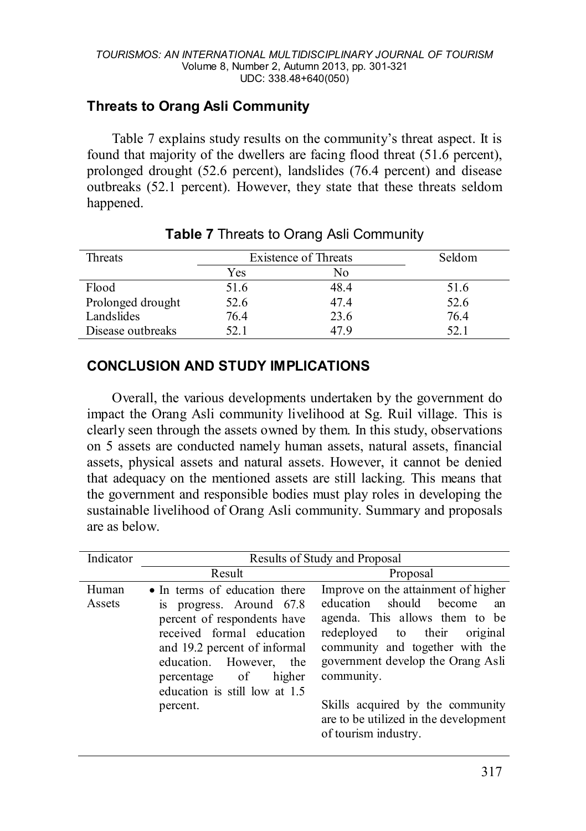# **Threats to Orang Asli Community**

Table 7 explains study results on the community's threat aspect. It is found that majority of the dwellers are facing flood threat (51.6 percent), prolonged drought (52.6 percent), landslides (76.4 percent) and disease outbreaks (52.1 percent). However, they state that these threats seldom happened.

| Threats           | <b>Existence of Threats</b> |      | Seldom |
|-------------------|-----------------------------|------|--------|
|                   | Yes                         | No   |        |
| Flood             | 51.6                        | 48.4 | 51.6   |
| Prolonged drought | 52.6                        | 47.4 | 52.6   |
| Landslides        | 76.4                        | 23.6 | 76.4   |
| Disease outbreaks | 52.1                        | 47 9 | 52.1   |

## **Table 7** Threats to Orang Asli Community

# **CONCLUSION AND STUDY IMPLICATIONS**

Overall, the various developments undertaken by the government do impact the Orang Asli community livelihood at Sg. Ruil village. This is clearly seen through the assets owned by them. In this study, observations on 5 assets are conducted namely human assets, natural assets, financial assets, physical assets and natural assets. However, it cannot be denied that adequacy on the mentioned assets are still lacking. This means that the government and responsible bodies must play roles in developing the sustainable livelihood of Orang Asli community. Summary and proposals are as below.

| Indicator       | Results of Study and Proposal                                                                                                                                                                                                                            |                                                                                                                                                                                                                                                                                                                                      |  |
|-----------------|----------------------------------------------------------------------------------------------------------------------------------------------------------------------------------------------------------------------------------------------------------|--------------------------------------------------------------------------------------------------------------------------------------------------------------------------------------------------------------------------------------------------------------------------------------------------------------------------------------|--|
|                 | Result                                                                                                                                                                                                                                                   | Proposal                                                                                                                                                                                                                                                                                                                             |  |
| Human<br>Assets | • In terms of education there<br>is progress. Around 67.8<br>percent of respondents have<br>received formal education<br>and 19.2 percent of informal<br>education. However, the<br>percentage of<br>higher<br>education is still low at 1.5<br>percent. | Improve on the attainment of higher<br>education<br>should become<br>an<br>agenda. This allows them to be<br>redeployed to their original<br>community and together with the<br>government develop the Orang Asli<br>community.<br>Skills acquired by the community<br>are to be utilized in the development<br>of tourism industry. |  |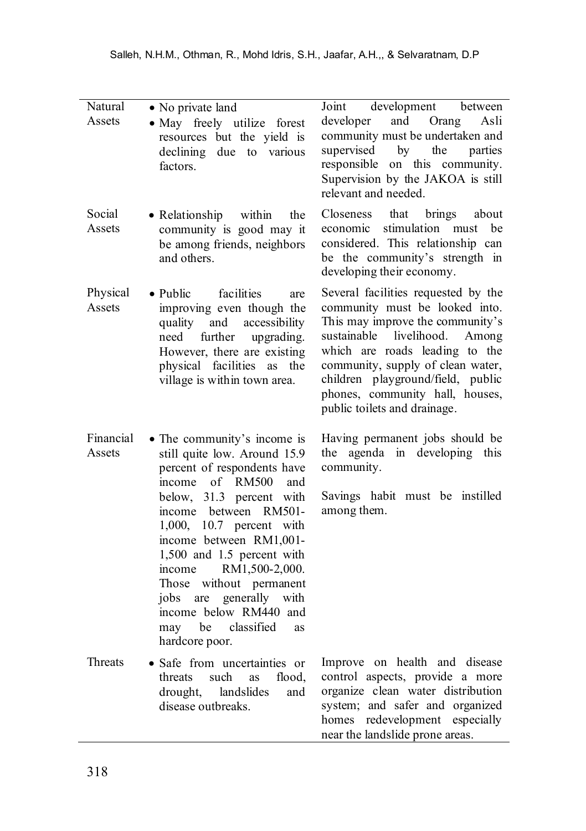| Natural<br>Assets   | • No private land<br>· May freely utilize forest<br>resources but the yield is<br>declining due to various<br>factors.                                                                                                                                                                                                                                                                                                     | development<br>Joint<br>between<br>and Orang<br>developer<br>Asli<br>community must be undertaken and<br>supervised<br>by<br>the<br>parties<br>responsible on this community.<br>Supervision by the JAKOA is still<br>relevant and needed.                                                                                   |
|---------------------|----------------------------------------------------------------------------------------------------------------------------------------------------------------------------------------------------------------------------------------------------------------------------------------------------------------------------------------------------------------------------------------------------------------------------|------------------------------------------------------------------------------------------------------------------------------------------------------------------------------------------------------------------------------------------------------------------------------------------------------------------------------|
| Social<br>Assets    | • Relationship<br>within<br>the<br>community is good may it<br>be among friends, neighbors<br>and others.                                                                                                                                                                                                                                                                                                                  | <b>Closeness</b><br>that<br>brings<br>about<br>stimulation must<br>be<br>economic<br>considered. This relationship can<br>be the community's strength in<br>developing their economy.                                                                                                                                        |
| Physical<br>Assets  | facilities<br>$\bullet$ Public<br>are<br>improving even though the<br>quality and<br>accessibility<br>further upgrading.<br>need<br>However, there are existing<br>physical facilities as the<br>village is within town area.                                                                                                                                                                                              | Several facilities requested by the<br>community must be looked into.<br>This may improve the community's<br>sustainable livelihood.<br>Among<br>which are roads leading to the<br>community, supply of clean water,<br>children playground/field, public<br>phones, community hall, houses,<br>public toilets and drainage. |
| Financial<br>Assets | • The community's income is<br>still quite low. Around 15.9<br>percent of respondents have<br>income of RM500<br>and<br>below, 31.3 percent with<br>income between RM501-<br>1,000, 10.7 percent with<br>income between RM1,001-<br>1,500 and 1.5 percent with<br>RM1,500-2,000.<br>income<br>Those without permanent<br>jobs are generally with<br>income below RM440 and<br>be classified<br>may<br>as<br>hardcore poor. | Having permanent jobs should be<br>the agenda in developing this<br>community.<br>Savings habit must be instilled<br>among them.                                                                                                                                                                                             |
| <b>Threats</b>      | · Safe from uncertainties or<br>threats<br>such<br>as<br>flood.<br>landslides<br>drought,<br>and<br>disease outbreaks.                                                                                                                                                                                                                                                                                                     | Improve on health and disease<br>control aspects, provide a more<br>organize clean water distribution<br>system; and safer and organized<br>homes redevelopment especially<br>near the landslide prone areas.                                                                                                                |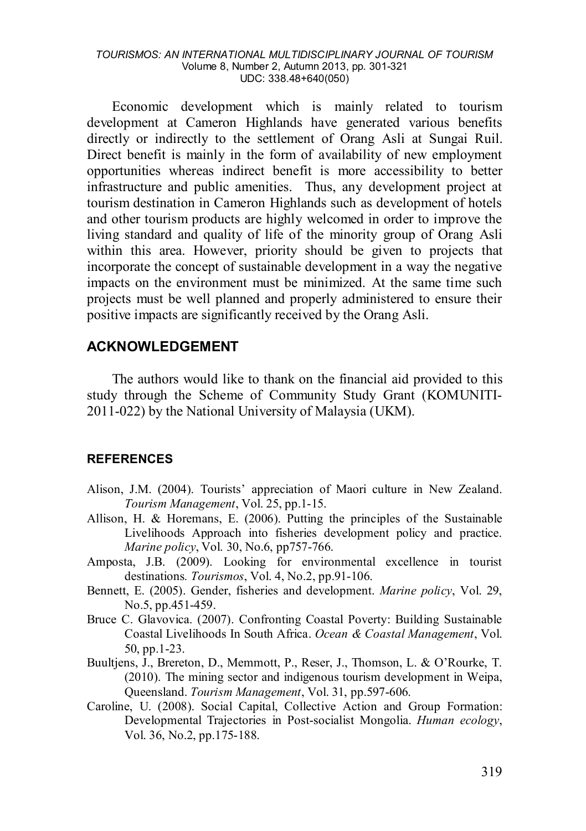Economic development which is mainly related to tourism development at Cameron Highlands have generated various benefits directly or indirectly to the settlement of Orang Asli at Sungai Ruil. Direct benefit is mainly in the form of availability of new employment opportunities whereas indirect benefit is more accessibility to better infrastructure and public amenities. Thus, any development project at tourism destination in Cameron Highlands such as development of hotels and other tourism products are highly welcomed in order to improve the living standard and quality of life of the minority group of Orang Asli within this area. However, priority should be given to projects that incorporate the concept of sustainable development in a way the negative impacts on the environment must be minimized. At the same time such projects must be well planned and properly administered to ensure their positive impacts are significantly received by the Orang Asli.

#### **ACKNOWLEDGEMENT**

The authors would like to thank on the financial aid provided to this study through the Scheme of Community Study Grant (KOMUNITI-2011-022) by the National University of Malaysia (UKM).

#### **REFERENCES**

- Alison, J.M. (2004). Tourists' appreciation of Maori culture in New Zealand. *Tourism Management*, Vol. 25, pp.1-15.
- Allison, H. & Horemans, E. (2006). Putting the principles of the Sustainable Livelihoods Approach into fisheries development policy and practice. *Marine policy*, Vol. 30, No.6, pp757-766.
- Amposta, J.B. (2009). Looking for environmental excellence in tourist destinations*. Tourismos*, Vol. 4, No.2, pp.91-106.
- Bennett, E. (2005). Gender, fisheries and development. *Marine policy*, Vol. 29, No.5, pp.451-459.
- Bruce C. Glavovica. (2007). Confronting Coastal Poverty: Building Sustainable Coastal Livelihoods In South Africa. *Ocean & Coastal Management*, Vol. 50, pp.1-23.
- Buultjens, J., Brereton, D., Memmott, P., Reser, J., Thomson, L. & O'Rourke, T. (2010). The mining sector and indigenous tourism development in Weipa, Queensland. *Tourism Management*, Vol. 31, pp.597-606.
- Caroline, U. (2008). [Social Capital, Collective Action and Group Formation:](http://www.springerlink.com/content/l33rg74731212078/)  [Developmental Trajectories in Post-socialist Mongolia.](http://www.springerlink.com/content/l33rg74731212078/) *Human ecology*, Vol. 36, No.2, pp.175-188.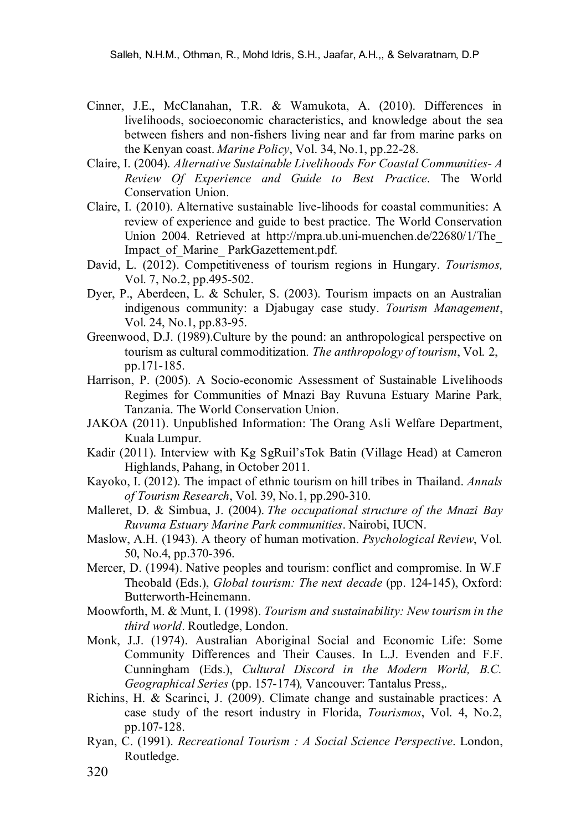- Cinner, J.E., McClanahan, T.R. & Wamukota, A. (2010). Differences in livelihoods, socioeconomic characteristics, and knowledge about the sea between fishers and non-fishers living near and far from marine parks on the Kenyan coast. *Marine Policy*, Vol. 34, No.1, pp.22-28.
- Claire, I. (2004). *Alternative Sustainable Livelihoods For Coastal Communities- A Review Of Experience and Guide to Best Practice*. The World Conservation Union.
- Claire, I. (2010). Alternative sustainable live-lihoods for coastal communities: A review of experience and guide to best practice. The World Conservation Union 2004. Retrieved at <http://mpra.ub.uni-muenchen.de/>22680/1/The\_ Impact of Marine ParkGazettement.pdf.
- David, L. (2012). Competitiveness of tourism regions in Hungary. *Tourismos,*  Vol. 7, No.2, pp.495-502.
- Dyer, P., Aberdeen, L. & Schuler, S. (2003). Tourism impacts on an Australian indigenous community: a Djabugay case study. *Tourism Management*, Vol. 24, No.1, pp.83-95.
- Greenwood, D.J. (1989).Culture by the pound: an anthropological perspective on tourism as cultural commoditization*. The anthropology of tourism*, Vol. 2, pp.171-185.
- Harrison, P. (2005). A Socio-economic Assessment of Sustainable Livelihoods Regimes for Communities of Mnazi Bay Ruvuna Estuary Marine Park, Tanzania. The World Conservation Union.
- JAKOA (2011). Unpublished Information: The Orang Asli Welfare Department, Kuala Lumpur.
- Kadir (2011). Interview with Kg SgRuil'sTok Batin (Village Head) at Cameron Highlands, Pahang, in October 2011.
- Kayoko, I. (2012). The impact of ethnic tourism on hill tribes in Thailand. *Annals of Tourism Research*, Vol. 39, No.1, pp.290-310.
- Malleret, D. & Simbua, J. (2004). *The occupational structure of the Mnazi Bay Ruvuma Estuary Marine Park communities*. Nairobi, IUCN.
- Maslow, A.H. (1943). A theory of human motivation. *Psychological Review*, Vol. 50, No.4, pp.370-396.
- [Mercer, D. \(1994\)](http://www.sciencedirect.com/science/article/pii/S0261517702000493#bBIB42). Native peoples and tourism: conflict and compromise. In W.F Theobald (Eds.), *Global tourism: The next decade* (pp. 124-145), Oxford: Butterworth-Heinemann.
- Moowforth, M. & Munt, I. (1998). *Tourism and sustainability: New tourism in the third world*. Routledge, London.
- Monk, J.J. (1974). Australian Aboriginal Social and Economic Life: Some Community Differences and Their Causes. In L.J. Evenden and F.F. Cunningham (Eds.), *Cultural Discord in the Modern World, B.C. Geographical Series* (pp. 157-174)*,* Vancouver: Tantalus Press,.
- Richins, H. & Scarinci, J. (2009). Climate change and sustainable practices: A case study of the resort industry in Florida, *Tourismos*, Vol. 4, No.2, pp.107-128.
- Ryan, C. (1991). *Recreational Tourism : A Social Science Perspective*. London, Routledge.